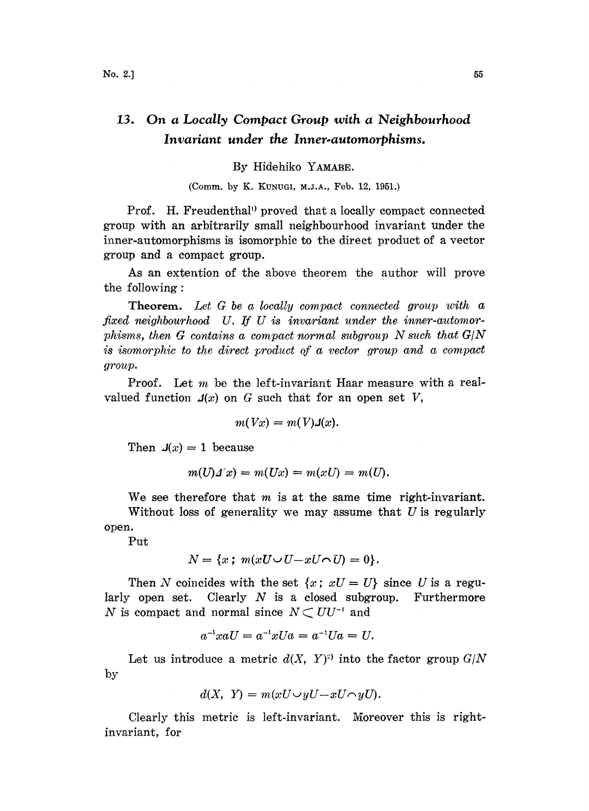## 13. On a Locally Compact Group with a Neighbourhood Invariant under the Inner.automorphisms.

By Hidehiko YAMABE.

(Comm. by K. KUNUGI, M.J.A., Feb. 12, 1951.)

Prof. H. Freudenthal<sup>1</sup> proved that a locally compact connected group with an arbitrarily small neighbourhood invariant under the inner-automorphisms is isomorphic to the direct product of a vector group and a compact group.

As an extention of the above theorem the author will prove the following:

Theorem. Let G be a locally compact connected group with a fixed neighbourhood U. If U is invariant under the inner-automorphisms, then  $G$  contains a compact normal subgroup  $N$  such that  $G/N$ is isomorphic to the direct product of a vector group and a compact group.

Proof. Let  $m$  be the left-invariant Haar measure with a realvalued function  $\mathcal{A}(x)$  on G such that for an open set V,

$$
m(Vx)=m(V)\mathcal{A}(x).
$$

Then  $\mathcal{A}(x) = 1$  because

$$
m(U)\Delta' x) = m(Ux) = m(xU) = m(U).
$$

We see therefore that  $m$  is at the same time right-invariant.

Without loss of generality we may assume that  $U$  is regularly open.

Put

$$
N = \{x \; ; \; m(xU \cup U - xU \cap U) = 0\}.
$$

Then N coincides with the set  $\{x: xU=U\}$  since U is a regularly open set. Clearly  $N$  is a closed subgroup. Furthermore N is compact and normal since  $N \subset U U^{-1}$  and

$$
a^{-1}xaU = a^{-1}xUa = a^{-1}Ua = U.
$$

by Let us introduce a metric  $d(X, Y)$ <sup>2)</sup> into the factor group  $G/N$ 

$$
d(X, Y) = m(xU \cup yU - xU \cap yU).
$$

Clearly this metric is left-invariant. Moreover this is rightinvariant, for